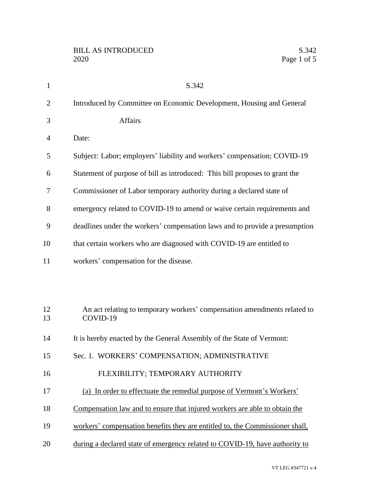| $\mathbf{1}$   | S.342                                                                                |
|----------------|--------------------------------------------------------------------------------------|
| $\overline{2}$ | Introduced by Committee on Economic Development, Housing and General                 |
| 3              | <b>Affairs</b>                                                                       |
| $\overline{4}$ | Date:                                                                                |
| 5              | Subject: Labor; employers' liability and workers' compensation; COVID-19             |
| 6              | Statement of purpose of bill as introduced: This bill proposes to grant the          |
| 7              | Commissioner of Labor temporary authority during a declared state of                 |
| 8              | emergency related to COVID-19 to amend or waive certain requirements and             |
| 9              | deadlines under the workers' compensation laws and to provide a presumption          |
| 10             | that certain workers who are diagnosed with COVID-19 are entitled to                 |
| 11             | workers' compensation for the disease.                                               |
|                |                                                                                      |
|                |                                                                                      |
| 12<br>13       | An act relating to temporary workers' compensation amendments related to<br>COVID-19 |
| 14             | It is hereby enacted by the General Assembly of the State of Vermont:                |
| 15             | Sec. 1. WORKERS' COMPENSATION; ADMINISTRATIVE                                        |
| 16             | FLEXIBILITY; TEMPORARY AUTHORITY                                                     |
| 17             | (a) In order to effectuate the remedial purpose of Vermont's Workers'                |
| 18             | Compensation law and to ensure that injured workers are able to obtain the           |
| 19             | workers' compensation benefits they are entitled to, the Commissioner shall,         |
| 20             | during a declared state of emergency related to COVID-19, have authority to          |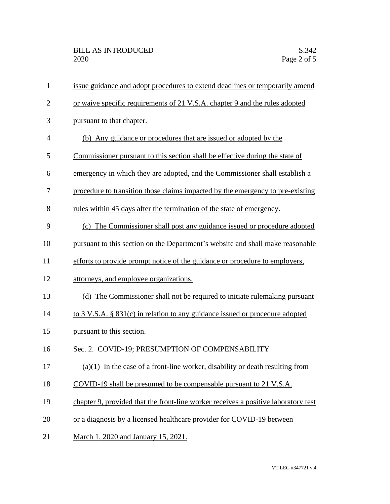| $\mathbf{1}$   | issue guidance and adopt procedures to extend deadlines or temporarily amend       |
|----------------|------------------------------------------------------------------------------------|
| $\overline{2}$ | or waive specific requirements of 21 V.S.A. chapter 9 and the rules adopted        |
| 3              | pursuant to that chapter.                                                          |
| 4              | (b) Any guidance or procedures that are issued or adopted by the                   |
| 5              | Commissioner pursuant to this section shall be effective during the state of       |
| 6              | emergency in which they are adopted, and the Commissioner shall establish a        |
| 7              | procedure to transition those claims impacted by the emergency to pre-existing     |
| 8              | rules within 45 days after the termination of the state of emergency.              |
| 9              | (c) The Commissioner shall post any guidance issued or procedure adopted           |
| 10             | pursuant to this section on the Department's website and shall make reasonable     |
| 11             | efforts to provide prompt notice of the guidance or procedure to employers,        |
| 12             | attorneys, and employee organizations.                                             |
| 13             | (d) The Commissioner shall not be required to initiate rulemaking pursuant         |
| 14             | to 3 V.S.A. § 831(c) in relation to any guidance issued or procedure adopted       |
| 15             | pursuant to this section.                                                          |
| 16             | Sec. 2. COVID-19; PRESUMPTION OF COMPENSABILITY                                    |
| 17             | $(a)(1)$ In the case of a front-line worker, disability or death resulting from    |
| 18             | COVID-19 shall be presumed to be compensable pursuant to 21 V.S.A.                 |
| 19             | chapter 9, provided that the front-line worker receives a positive laboratory test |
| 20             | or a diagnosis by a licensed healthcare provider for COVID-19 between              |
| 21             | March 1, 2020 and January 15, 2021.                                                |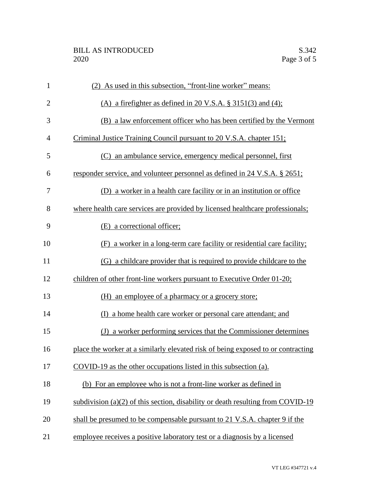| $\mathbf{1}$   | (2) As used in this subsection, "front-line worker" means:                       |
|----------------|----------------------------------------------------------------------------------|
| $\overline{2}$ | (A) a firefighter as defined in 20 V.S.A. $\S$ 3151(3) and (4);                  |
| 3              | (B) a law enforcement officer who has been certified by the Vermont              |
| 4              | Criminal Justice Training Council pursuant to 20 V.S.A. chapter 151;             |
| 5              | (C) an ambulance service, emergency medical personnel, first                     |
| 6              | responder service, and volunteer personnel as defined in 24 V.S.A. § 2651;       |
| 7              | (D) a worker in a health care facility or in an institution or office            |
| 8              | where health care services are provided by licensed healthcare professionals;    |
| 9              | (E) a correctional officer;                                                      |
| 10             | (F) a worker in a long-term care facility or residential care facility;          |
| 11             | (G) a childcare provider that is required to provide childcare to the            |
| 12             | children of other front-line workers pursuant to Executive Order 01-20;          |
| 13             | (H) an employee of a pharmacy or a grocery store;                                |
| 14             | a home health care worker or personal care attendant; and<br>(D                  |
| 15             | (J) a worker performing services that the Commissioner determines                |
| 16             | place the worker at a similarly elevated risk of being exposed to or contracting |
| 17             | COVID-19 as the other occupations listed in this subsection (a).                 |
| 18             | (b) For an employee who is not a front-line worker as defined in                 |
| 19             | subdivision (a)(2) of this section, disability or death resulting from COVID-19  |
| 20             | shall be presumed to be compensable pursuant to 21 V.S.A. chapter 9 if the       |
| 21             | employee receives a positive laboratory test or a diagnosis by a licensed        |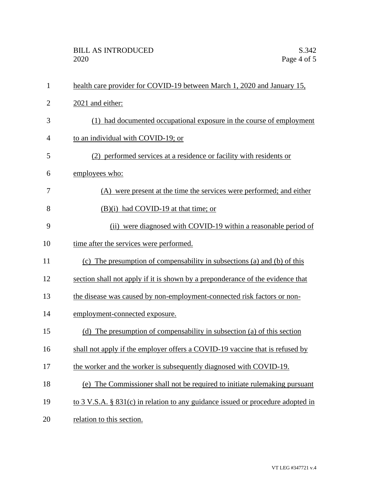| $\mathbf{1}$   | health care provider for COVID-19 between March 1, 2020 and January 15,         |
|----------------|---------------------------------------------------------------------------------|
| $\overline{c}$ | 2021 and either:                                                                |
| 3              | (1) had documented occupational exposure in the course of employment            |
| $\overline{4}$ | to an individual with COVID-19; or                                              |
| 5              | (2) performed services at a residence or facility with residents or             |
| 6              | employees who:                                                                  |
| 7              | (A) were present at the time the services were performed; and either            |
| 8              | $(B)(i)$ had COVID-19 at that time; or                                          |
| 9              | (ii) were diagnosed with COVID-19 within a reasonable period of                 |
| 10             | time after the services were performed.                                         |
| 11             | (c) The presumption of compensability in subsections (a) and (b) of this        |
| 12             | section shall not apply if it is shown by a preponderance of the evidence that  |
| 13             | the disease was caused by non-employment-connected risk factors or non-         |
| 14             | employment-connected exposure.                                                  |
| 15             | (d) The presumption of compensability in subsection (a) of this section         |
| 16             | shall not apply if the employer offers a COVID-19 vaccine that is refused by    |
| 17             | the worker and the worker is subsequently diagnosed with COVID-19.              |
| 18             | (e) The Commissioner shall not be required to initiate rulemaking pursuant      |
| 19             | to 3 V.S.A. § 831(c) in relation to any guidance issued or procedure adopted in |
| 20             | relation to this section.                                                       |